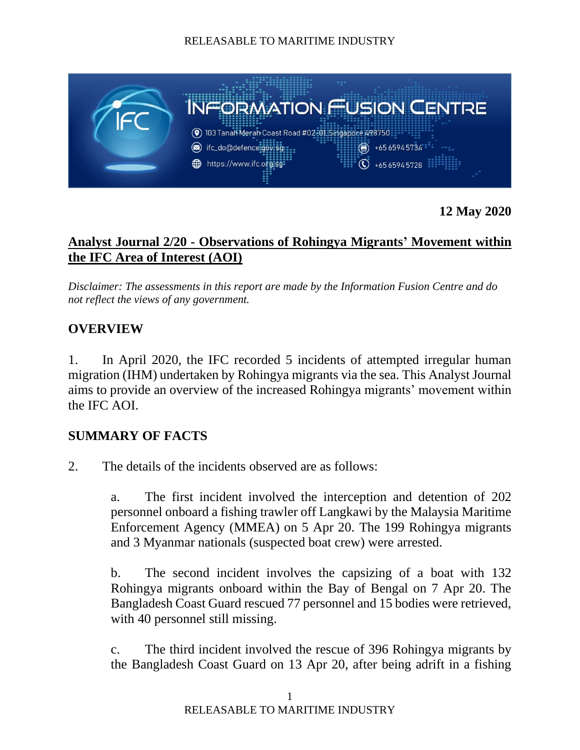

**12 May 2020**

# **Analyst Journal 2/20 - Observations of Rohingya Migrants' Movement within the IFC Area of Interest (AOI)**

*Disclaimer: The assessments in this report are made by the Information Fusion Centre and do not reflect the views of any government.*

# **OVERVIEW**

1. In April 2020, the IFC recorded 5 incidents of attempted irregular human migration (IHM) undertaken by Rohingya migrants via the sea. This Analyst Journal aims to provide an overview of the increased Rohingya migrants' movement within the IFC AOI.

## **SUMMARY OF FACTS**

2. The details of the incidents observed are as follows:

a. The first incident involved the interception and detention of 202 personnel onboard a fishing trawler off Langkawi by the Malaysia Maritime Enforcement Agency (MMEA) on 5 Apr 20. The 199 Rohingya migrants and 3 Myanmar nationals (suspected boat crew) were arrested.

b. The second incident involves the capsizing of a boat with 132 Rohingya migrants onboard within the Bay of Bengal on 7 Apr 20. The Bangladesh Coast Guard rescued 77 personnel and 15 bodies were retrieved, with 40 personnel still missing.

c. The third incident involved the rescue of 396 Rohingya migrants by the Bangladesh Coast Guard on 13 Apr 20, after being adrift in a fishing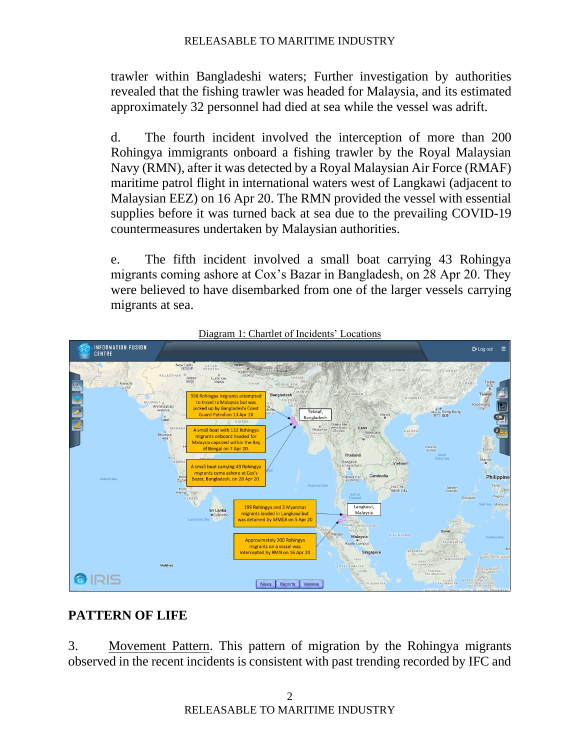trawler within Bangladeshi waters; Further investigation by authorities revealed that the fishing trawler was headed for Malaysia, and its estimated approximately 32 personnel had died at sea while the vessel was adrift.

d. The fourth incident involved the interception of more than 200 Rohingya immigrants onboard a fishing trawler by the Royal Malaysian Navy (RMN), after it was detected by a Royal Malaysian Air Force (RMAF) maritime patrol flight in international waters west of Langkawi (adjacent to Malaysian EEZ) on 16 Apr 20. The RMN provided the vessel with essential supplies before it was turned back at sea due to the prevailing COVID-19 countermeasures undertaken by Malaysian authorities.

e. The fifth incident involved a small boat carrying 43 Rohingya migrants coming ashore at Cox's Bazar in Bangladesh, on 28 Apr 20. They were believed to have disembarked from one of the larger vessels carrying migrants at sea.





# **PATTERN OF LIFE**

3. Movement Pattern. This pattern of migration by the Rohingya migrants observed in the recent incidents is consistent with past trending recorded by IFC and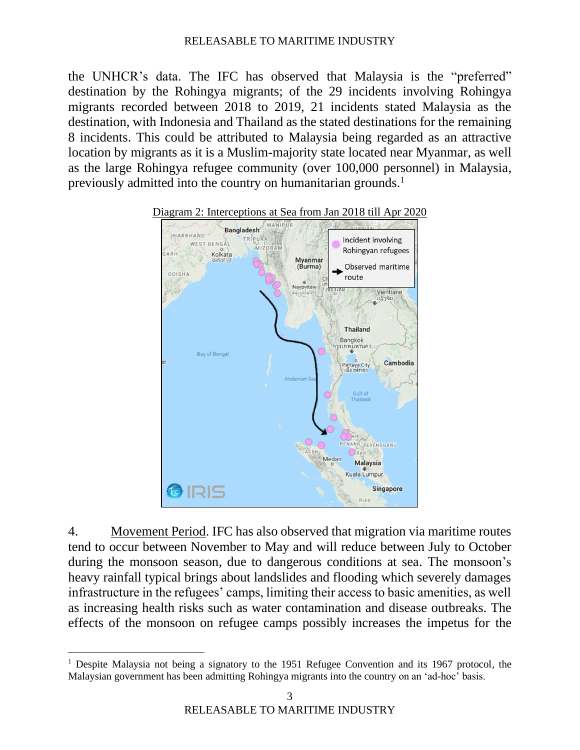the UNHCR's data. The IFC has observed that Malaysia is the "preferred" destination by the Rohingya migrants; of the 29 incidents involving Rohingya migrants recorded between 2018 to 2019, 21 incidents stated Malaysia as the destination, with Indonesia and Thailand as the stated destinations for the remaining 8 incidents. This could be attributed to Malaysia being regarded as an attractive location by migrants as it is a Muslim-majority state located near Myanmar, as well as the large Rohingya refugee community (over 100,000 personnel) in Malaysia, previously admitted into the country on humanitarian grounds.<sup>1</sup>



4. Movement Period. IFC has also observed that migration via maritime routes tend to occur between November to May and will reduce between July to October during the monsoon season, due to dangerous conditions at sea. The monsoon's heavy rainfall typical brings about landslides and flooding which severely damages infrastructure in the refugees' camps, limiting their access to basic amenities, as well as increasing health risks such as water contamination and disease outbreaks. The effects of the monsoon on refugee camps possibly increases the impetus for the

<sup>&</sup>lt;sup>1</sup> Despite Malaysia not being a signatory to the 1951 Refugee Convention and its 1967 protocol, the Malaysian government has been admitting Rohingya migrants into the country on an 'ad-hoc' basis.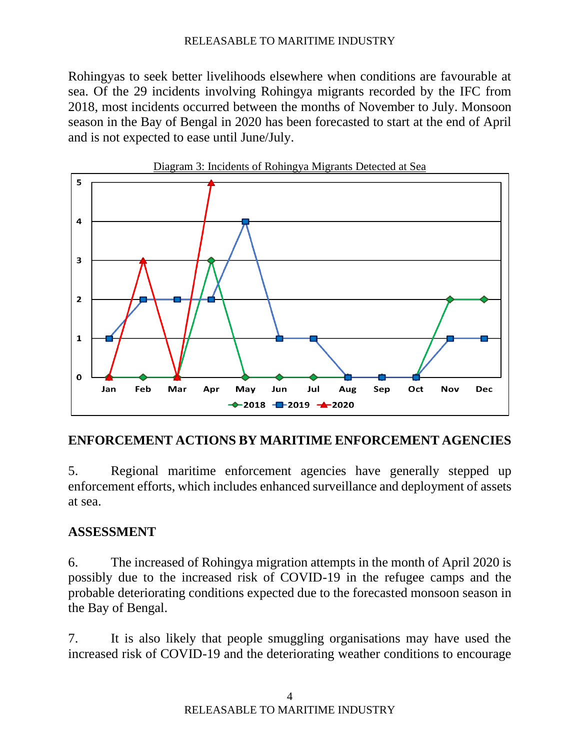Rohingyas to seek better livelihoods elsewhere when conditions are favourable at sea. Of the 29 incidents involving Rohingya migrants recorded by the IFC from 2018, most incidents occurred between the months of November to July. Monsoon season in the Bay of Bengal in 2020 has been forecasted to start at the end of April and is not expected to ease until June/July.



### **ENFORCEMENT ACTIONS BY MARITIME ENFORCEMENT AGENCIES**

5. Regional maritime enforcement agencies have generally stepped up enforcement efforts, which includes enhanced surveillance and deployment of assets at sea.

## **ASSESSMENT**

6. The increased of Rohingya migration attempts in the month of April 2020 is possibly due to the increased risk of COVID-19 in the refugee camps and the probable deteriorating conditions expected due to the forecasted monsoon season in the Bay of Bengal.

7. It is also likely that people smuggling organisations may have used the increased risk of COVID-19 and the deteriorating weather conditions to encourage